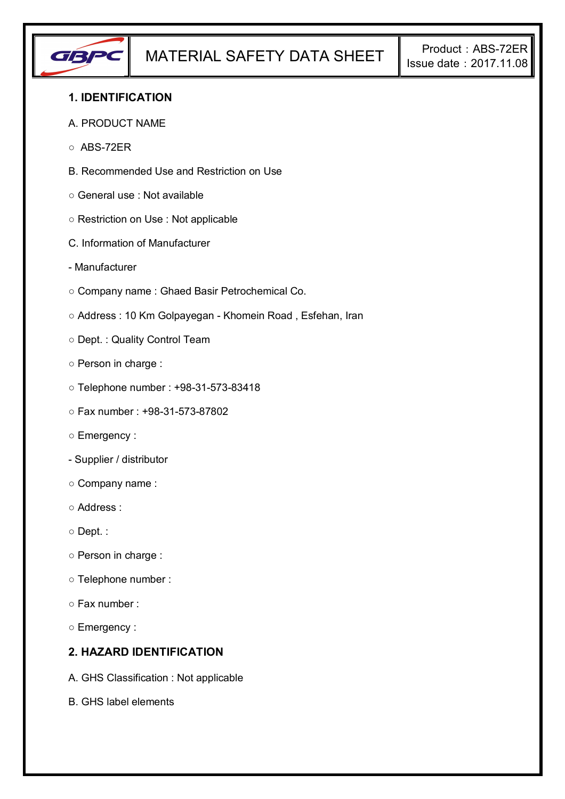

### **1. IDENTIFICATION**

- A. PRODUCT NAME
- ABS-72ER
- B. Recommended Use and Restriction on Use
- General use : Not available
- Restriction on Use : Not applicable
- C. Information of Manufacturer
- Manufacturer
- Company name : Ghaed Basir Petrochemical Co.
- Address : 10 Km Golpayegan Khomein Road , Esfehan, Iran
- Dept. : Quality Control Team
- Person in charge :
- Telephone number : +98-31-573-83418
- Fax number : +98-31-573-87802
- Emergency :
- Supplier / distributor
- Company name :
- Address :
- Dept. :
- Person in charge :
- Telephone number :
- Fax number :
- Emergency :

## **2. HAZARD IDENTIFICATION**

- A. GHS Classification : Not applicable
- B. GHS label elements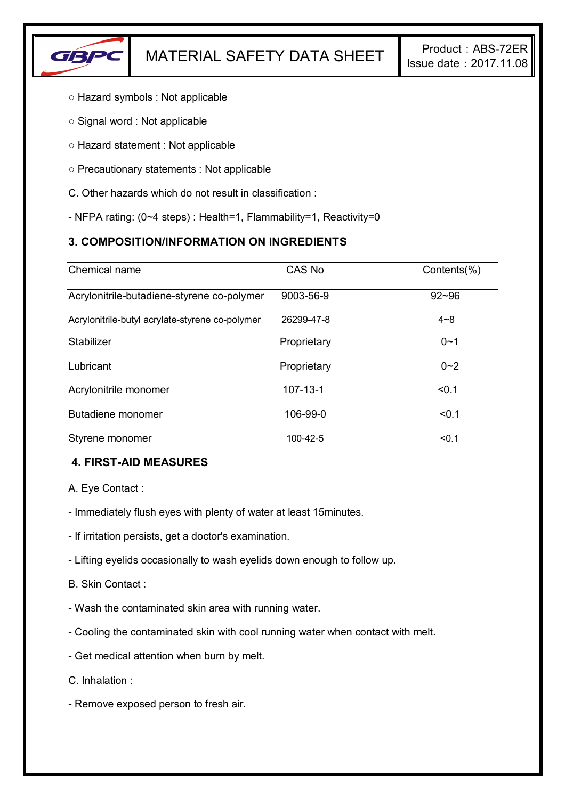

- Hazard symbols : Not applicable
- Signal word : Not applicable
- Hazard statement : Not applicable
- Precautionary statements : Not applicable
- C. Other hazards which do not result in classification :
- NFPA rating: (0~4 steps) : Health=1, Flammability=1, Reactivity=0

# **3. COMPOSITION/INFORMATION ON INGREDIENTS**

| Chemical name                                   | CAS No         | Contents(%) |
|-------------------------------------------------|----------------|-------------|
| Acrylonitrile-butadiene-styrene co-polymer      | 9003-56-9      | $92 - 96$   |
| Acrylonitrile-butyl acrylate-styrene co-polymer | 26299-47-8     | $4 - 8$     |
| Stabilizer                                      | Proprietary    | $0 - 1$     |
| Lubricant                                       | Proprietary    | $0 - 2$     |
| Acrylonitrile monomer                           | $107 - 13 - 1$ | < 0.1       |
| Butadiene monomer                               | 106-99-0       | < 0.1       |
| Styrene monomer                                 | 100-42-5       | < 0.1       |

## **4. FIRST-AID MEASURES**

A. Eye Contact :

- Immediately flush eyes with plenty of water at least 15minutes.
- If irritation persists, get a doctor's examination.
- Lifting eyelids occasionally to wash eyelids down enough to follow up.
- B. Skin Contact :
- Wash the contaminated skin area with running water.
- Cooling the contaminated skin with cool running water when contact with melt.
- Get medical attention when burn by melt.
- C. Inhalation :
- Remove exposed person to fresh air.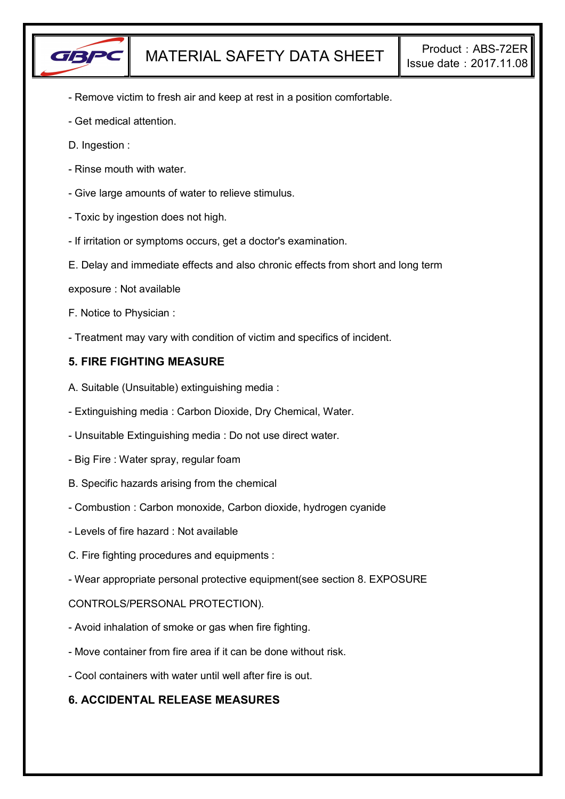

- Remove victim to fresh air and keep at rest in a position comfortable.
- Get medical attention.
- D. Ingestion :
- Rinse mouth with water.
- Give large amounts of water to relieve stimulus.
- Toxic by ingestion does not high.
- If irritation or symptoms occurs, get a doctor's examination.
- E. Delay and immediate effects and also chronic effects from short and long term
- exposure : Not available
- F. Notice to Physician :
- Treatment may vary with condition of victim and specifics of incident.

### **5. FIRE FIGHTING MEASURE**

- A. Suitable (Unsuitable) extinguishing media :
- Extinguishing media : Carbon Dioxide, Dry Chemical, Water.
- Unsuitable Extinguishing media : Do not use direct water.
- Big Fire : Water spray, regular foam
- B. Specific hazards arising from the chemical
- Combustion : Carbon monoxide, Carbon dioxide, hydrogen cyanide
- Levels of fire hazard : Not available
- C. Fire fighting procedures and equipments :
- Wear appropriate personal protective equipment(see section 8. EXPOSURE

CONTROLS/PERSONAL PROTECTION).

- Avoid inhalation of smoke or gas when fire fighting.
- Move container from fire area if it can be done without risk.
- Cool containers with water until well after fire is out.

### **6. ACCIDENTAL RELEASE MEASURES**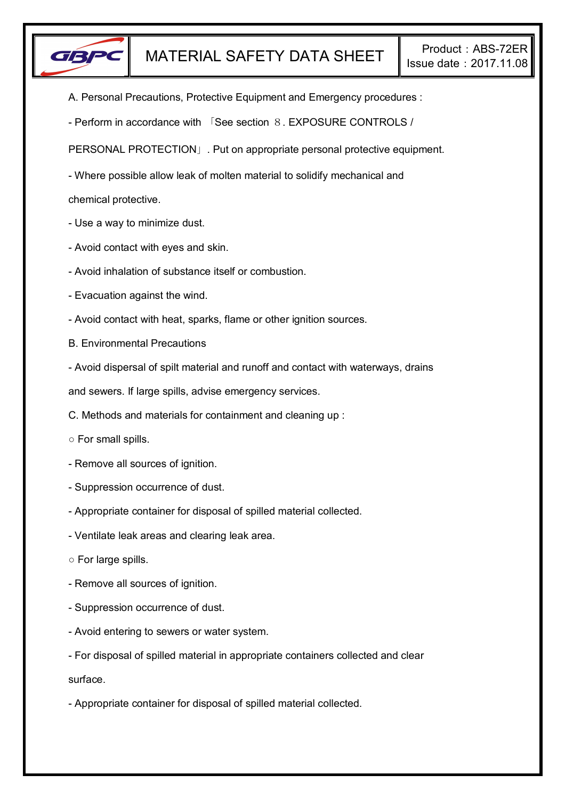

- A. Personal Precautions, Protective Equipment and Emergency procedures :
- Perform in accordance with 「See section 8. EXPOSURE CONTROLS /

PERSONAL PROTECTION」. Put on appropriate personal protective equipment.

- Where possible allow leak of molten material to solidify mechanical and

chemical protective.

- Use a way to minimize dust.
- Avoid contact with eyes and skin.
- Avoid inhalation of substance itself or combustion.
- Evacuation against the wind.
- Avoid contact with heat, sparks, flame or other ignition sources.
- B. Environmental Precautions
- Avoid dispersal of spilt material and runoff and contact with waterways, drains

and sewers. If large spills, advise emergency services.

- C. Methods and materials for containment and cleaning up :
- For small spills.
- Remove all sources of ignition.
- Suppression occurrence of dust.
- Appropriate container for disposal of spilled material collected.
- Ventilate leak areas and clearing leak area.
- For large spills.
- Remove all sources of ignition.
- Suppression occurrence of dust.
- Avoid entering to sewers or water system.
- For disposal of spilled material in appropriate containers collected and clear

surface.

- Appropriate container for disposal of spilled material collected.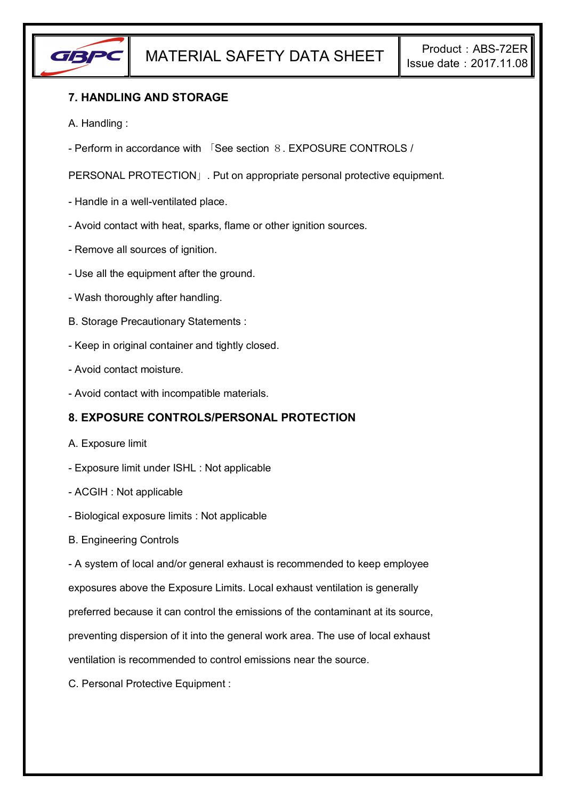

# **7. HANDLING AND STORAGE**

- A. Handling :
- Perform in accordance with 「See section 8. EXPOSURE CONTROLS /

PERSONAL PROTECTION」. Put on appropriate personal protective equipment.

- Handle in a well-ventilated place.
- Avoid contact with heat, sparks, flame or other ignition sources.
- Remove all sources of ignition.
- Use all the equipment after the ground.
- Wash thoroughly after handling.
- B. Storage Precautionary Statements :
- Keep in original container and tightly closed.
- Avoid contact moisture.
- Avoid contact with incompatible materials.

## **8. EXPOSURE CONTROLS/PERSONAL PROTECTION**

- A. Exposure limit
- Exposure limit under ISHL : Not applicable
- ACGIH : Not applicable
- Biological exposure limits : Not applicable
- B. Engineering Controls

- A system of local and/or general exhaust is recommended to keep employee

exposures above the Exposure Limits. Local exhaust ventilation is generally

preferred because it can control the emissions of the contaminant at its source,

preventing dispersion of it into the general work area. The use of local exhaust

ventilation is recommended to control emissions near the source.

C. Personal Protective Equipment :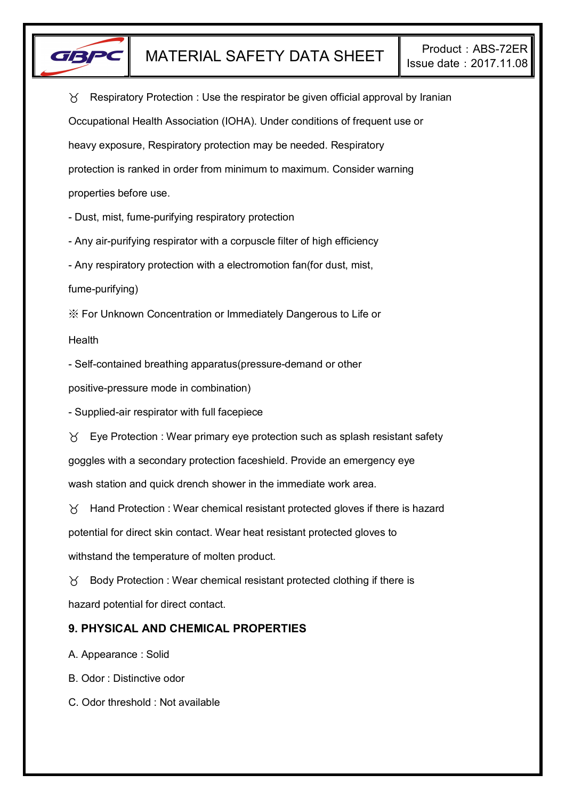

 $\gamma$  Respiratory Protection : Use the respirator be given official approval by Iranian Occupational Health Association (IOHA). Under conditions of frequent use or heavy exposure, Respiratory protection may be needed. Respiratory protection is ranked in order from minimum to maximum. Consider warning properties before use.

- Dust, mist, fume-purifying respiratory protection

- Any air-purifying respirator with a corpuscle filter of high efficiency

- Any respiratory protection with a electromotion fan(for dust, mist,

fume-purifying)

※ For Unknown Concentration or Immediately Dangerous to Life or

Health

- Self-contained breathing apparatus(pressure-demand or other

positive-pressure mode in combination)

- Supplied-air respirator with full facepiece

 $\forall$  Eye Protection : Wear primary eye protection such as splash resistant safety goggles with a secondary protection faceshield. Provide an emergency eye wash station and quick drench shower in the immediate work area.

 $\gamma$  Hand Protection : Wear chemical resistant protected gloves if there is hazard potential for direct skin contact. Wear heat resistant protected gloves to withstand the temperature of molten product.

 $\gamma$  Body Protection : Wear chemical resistant protected clothing if there is hazard potential for direct contact.

## **9. PHYSICAL AND CHEMICAL PROPERTIES**

A. Appearance : Solid

B. Odor : Distinctive odor

C. Odor threshold : Not available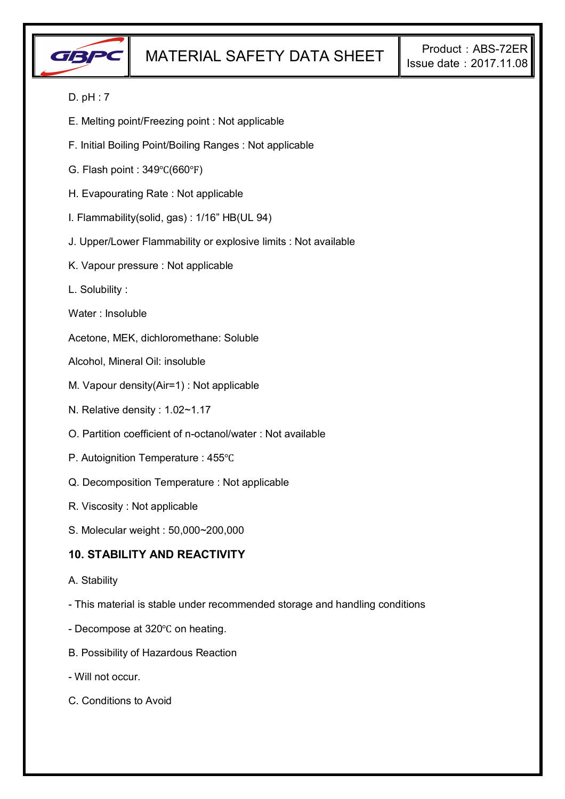

### D. pH : 7

- E. Melting point/Freezing point : Not applicable
- F. Initial Boiling Point/Boiling Ranges : Not applicable
- G. Flash point : 349℃(660℉)
- H. Evapourating Rate : Not applicable
- I. Flammability(solid, gas) : 1/16" HB(UL 94)
- J. Upper/Lower Flammability or explosive limits : Not available
- K. Vapour pressure : Not applicable
- L. Solubility :
- Water : Insoluble

Acetone, MEK, dichloromethane: Soluble

- Alcohol, Mineral Oil: insoluble
- M. Vapour density(Air=1) : Not applicable
- N. Relative density : 1.02~1.17
- O. Partition coefficient of n-octanol/water : Not available
- P. Autoignition Temperature : 455℃
- Q. Decomposition Temperature : Not applicable
- R. Viscosity : Not applicable
- S. Molecular weight : 50,000~200,000

### **10. STABILITY AND REACTIVITY**

- A. Stability
- This material is stable under recommended storage and handling conditions
- Decompose at 320℃ on heating.
- B. Possibility of Hazardous Reaction
- Will not occur.
- C. Conditions to Avoid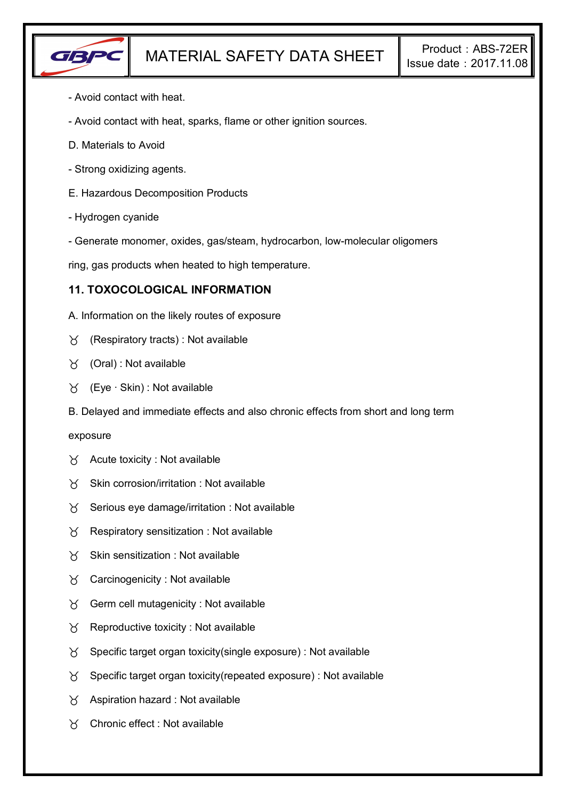

- Avoid contact with heat.
- Avoid contact with heat, sparks, flame or other ignition sources.
- D. Materials to Avoid
- Strong oxidizing agents.
- E. Hazardous Decomposition Products
- Hydrogen cyanide
- Generate monomer, oxides, gas/steam, hydrocarbon, low-molecular oligomers

ring, gas products when heated to high temperature.

### **11. TOXOCOLOGICAL INFORMATION**

- A. Information on the likely routes of exposure
- $\gamma$  (Respiratory tracts) : Not available
- (Oral) : Not available
- (Eye ∙ Skin) : Not available
- B. Delayed and immediate effects and also chronic effects from short and long term

#### exposure

- $\forall$  Acute toxicity : Not available
- $X$  Skin corrosion/irritation : Not available
- $\gamma$  Serious eye damage/irritation : Not available
- $\gamma$  Respiratory sensitization : Not available
- $X$  Skin sensitization : Not available
- $\forall$  Carcinogenicity : Not available
- $\gamma$  Germ cell mutagenicity : Not available
- $\gamma$  Reproductive toxicity : Not available
- $\gamma$  Specific target organ toxicity(single exposure) : Not available
- $\gamma$  Specific target organ toxicity (repeated exposure) : Not available
- $\gamma$  Aspiration hazard : Not available
- Chronic effect : Not available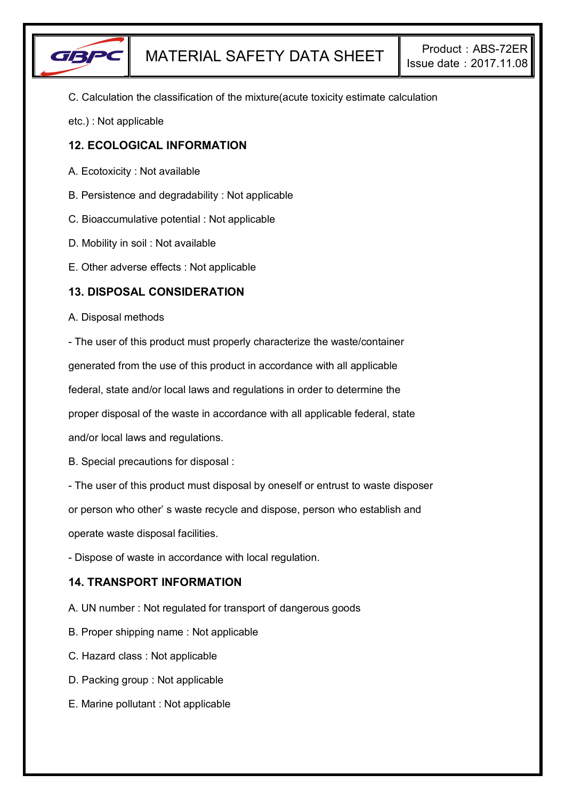

C. Calculation the classification of the mixture(acute toxicity estimate calculation

etc.) : Not applicable

### **12. ECOLOGICAL INFORMATION**

- A. Ecotoxicity : Not available
- B. Persistence and degradability : Not applicable
- C. Bioaccumulative potential : Not applicable
- D. Mobility in soil : Not available
- E. Other adverse effects : Not applicable

### **13. DISPOSAL CONSIDERATION**

#### A. Disposal methods

- The user of this product must properly characterize the waste/container generated from the use of this product in accordance with all applicable

federal, state and/or local laws and regulations in order to determine the

proper disposal of the waste in accordance with all applicable federal, state

and/or local laws and regulations.

B. Special precautions for disposal :

- The user of this product must disposal by oneself or entrust to waste disposer

or person who other' s waste recycle and dispose, person who establish and

operate waste disposal facilities.

- Dispose of waste in accordance with local regulation.

## **14. TRANSPORT INFORMATION**

- A. UN number : Not regulated for transport of dangerous goods
- B. Proper shipping name : Not applicable
- C. Hazard class : Not applicable
- D. Packing group : Not applicable
- E. Marine pollutant : Not applicable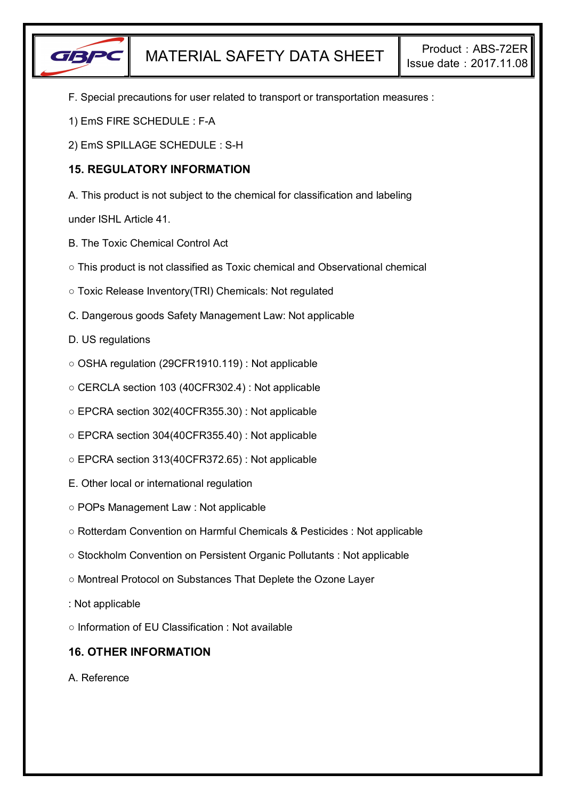

- F. Special precautions for user related to transport or transportation measures :
- 1) EmS FIRE SCHEDULE : F-A
- 2) EmS SPILLAGE SCHEDULE : S-H

# **15. REGULATORY INFORMATION**

A. This product is not subject to the chemical for classification and labeling

under ISHL Article 41.

- B. The Toxic Chemical Control Act
- This product is not classified as Toxic chemical and Observational chemical
- Toxic Release Inventory(TRI) Chemicals: Not regulated
- C. Dangerous goods Safety Management Law: Not applicable
- D. US regulations
- OSHA regulation (29CFR1910.119) : Not applicable
- CERCLA section 103 (40CFR302.4) : Not applicable
- EPCRA section 302(40CFR355.30) : Not applicable
- EPCRA section 304(40CFR355.40) : Not applicable
- EPCRA section 313(40CFR372.65) : Not applicable
- E. Other local or international regulation
- POPs Management Law : Not applicable
- Rotterdam Convention on Harmful Chemicals & Pesticides : Not applicable
- Stockholm Convention on Persistent Organic Pollutants : Not applicable
- Montreal Protocol on Substances That Deplete the Ozone Layer
- : Not applicable
- Information of EU Classification : Not available

# **16. OTHER INFORMATION**

A. Reference